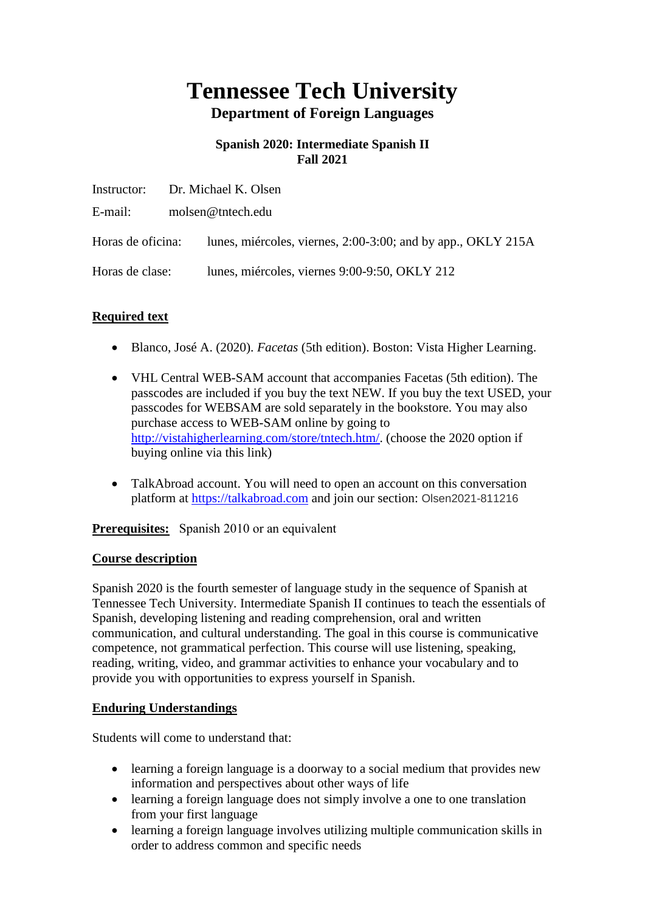# **Tennessee Tech University Department of Foreign Languages**

# **Spanish 2020: Intermediate Spanish II Fall 2021**

|                   |                   | Instructor: Dr. Michael K. Olsen                             |
|-------------------|-------------------|--------------------------------------------------------------|
| E-mail:           | molsen@tntech.edu |                                                              |
| Horas de oficina: |                   | lunes, miércoles, viernes, 2:00-3:00; and by app., OKLY 215A |
| Horas de clase:   |                   | lunes, miércoles, viernes 9:00-9:50, OKLY 212                |

# **Required text**

- Blanco, José A. (2020). *Facetas* (5th edition). Boston: Vista Higher Learning.
- VHL Central WEB-SAM account that accompanies Facetas (5th edition). The passcodes are included if you buy the text NEW. If you buy the text USED, your passcodes for WEBSAM are sold separately in the bookstore. You may also purchase access to WEB-SAM online by going to [http://vistahigherlearning.com/store/tntech.htm/.](http://vistahigherlearning.com/store/tntech.htm/) (choose the 2020 option if buying online via this link)
- TalkAbroad account. You will need to open an account on this conversation platform at [https://talkabroad.com](https://talkabroad.com/) and join our section: Olsen2021-811216

**Prerequisites:** Spanish 2010 or an equivalent

#### **Course description**

Spanish 2020 is the fourth semester of language study in the sequence of Spanish at Tennessee Tech University. Intermediate Spanish II continues to teach the essentials of Spanish, developing listening and reading comprehension, oral and written communication, and cultural understanding. The goal in this course is communicative competence, not grammatical perfection. This course will use listening, speaking, reading, writing, video, and grammar activities to enhance your vocabulary and to provide you with opportunities to express yourself in Spanish.

#### **Enduring Understandings**

Students will come to understand that:

- learning a foreign language is a doorway to a social medium that provides new information and perspectives about other ways of life
- learning a foreign language does not simply involve a one to one translation from your first language
- learning a foreign language involves utilizing multiple communication skills in order to address common and specific needs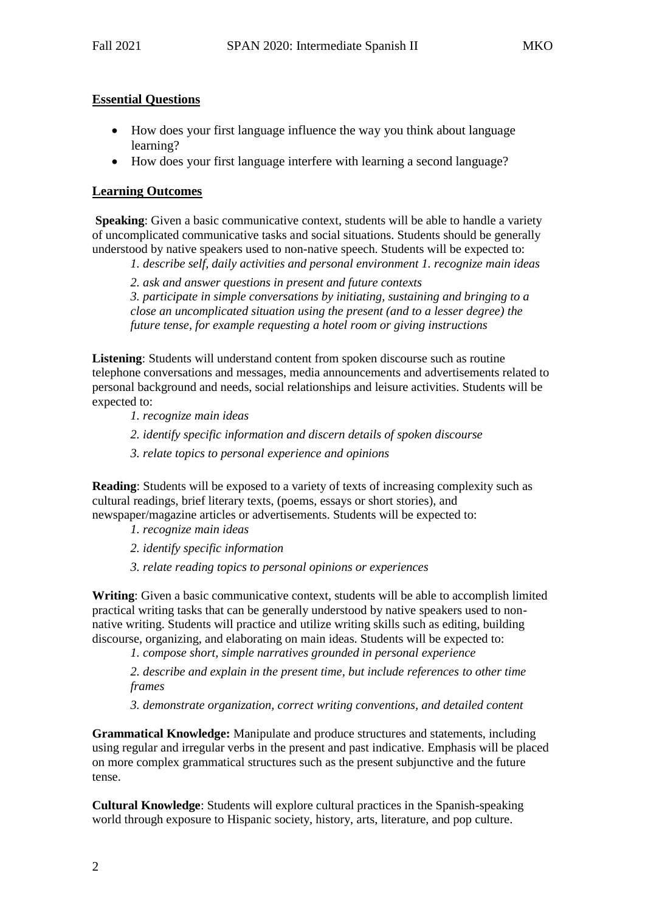#### **Essential Questions**

- How does your first language influence the way you think about language learning?
- How does your first language interfere with learning a second language?

#### **Learning Outcomes**

**Speaking**: Given a basic communicative context, students will be able to handle a variety of uncomplicated communicative tasks and social situations. Students should be generally understood by native speakers used to non-native speech. Students will be expected to:

*1. describe self, daily activities and personal environment 1. recognize main ideas* 

*2. ask and answer questions in present and future contexts* 

*3. participate in simple conversations by initiating, sustaining and bringing to a close an uncomplicated situation using the present (and to a lesser degree) the future tense, for example requesting a hotel room or giving instructions* 

**Listening**: Students will understand content from spoken discourse such as routine telephone conversations and messages, media announcements and advertisements related to personal background and needs, social relationships and leisure activities. Students will be expected to:

*1. recognize main ideas* 

- *2. identify specific information and discern details of spoken discourse*
- *3. relate topics to personal experience and opinions*

**Reading**: Students will be exposed to a variety of texts of increasing complexity such as cultural readings, brief literary texts, (poems, essays or short stories), and newspaper/magazine articles or advertisements. Students will be expected to:

- *1. recognize main ideas*
- *2. identify specific information*
- *3. relate reading topics to personal opinions or experiences*

**Writing**: Given a basic communicative context, students will be able to accomplish limited practical writing tasks that can be generally understood by native speakers used to nonnative writing. Students will practice and utilize writing skills such as editing, building discourse, organizing, and elaborating on main ideas. Students will be expected to:

*1. compose short, simple narratives grounded in personal experience* 

*2. describe and explain in the present time, but include references to other time frames* 

*3. demonstrate organization, correct writing conventions, and detailed content* 

**Grammatical Knowledge:** Manipulate and produce structures and statements, including using regular and irregular verbs in the present and past indicative. Emphasis will be placed on more complex grammatical structures such as the present subjunctive and the future tense.

**Cultural Knowledge**: Students will explore cultural practices in the Spanish-speaking world through exposure to Hispanic society, history, arts, literature, and pop culture.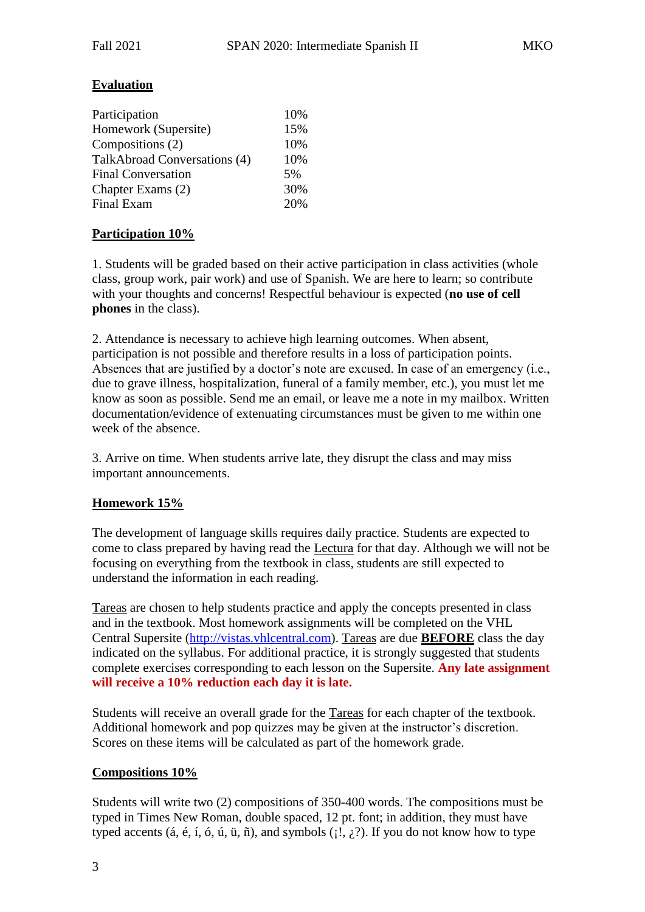# **Evaluation**

| 15% |
|-----|
| 10% |
| 10% |
| 5%  |
| 30% |
| 20% |
|     |

# **Participation 10%**

1. Students will be graded based on their active participation in class activities (whole class, group work, pair work) and use of Spanish. We are here to learn; so contribute with your thoughts and concerns! Respectful behaviour is expected (**no use of cell phones** in the class).

2. Attendance is necessary to achieve high learning outcomes. When absent, participation is not possible and therefore results in a loss of participation points. Absences that are justified by a doctor's note are excused. In case of an emergency (i.e., due to grave illness, hospitalization, funeral of a family member, etc.), you must let me know as soon as possible. Send me an email, or leave me a note in my mailbox. Written documentation/evidence of extenuating circumstances must be given to me within one week of the absence.

3. Arrive on time. When students arrive late, they disrupt the class and may miss important announcements.

#### **Homework 15%**

The development of language skills requires daily practice. Students are expected to come to class prepared by having read the Lectura for that day. Although we will not be focusing on everything from the textbook in class, students are still expected to understand the information in each reading.

Tareas are chosen to help students practice and apply the concepts presented in class and in the textbook. Most homework assignments will be completed on the VHL Central Supersite [\(http://vistas.vhlcentral.com\)](http://vistas.vhlcentral.com/). Tareas are due **BEFORE** class the day indicated on the syllabus. For additional practice, it is strongly suggested that students complete exercises corresponding to each lesson on the Supersite. **Any late assignment will receive a 10% reduction each day it is late.**

Students will receive an overall grade for the Tareas for each chapter of the textbook. Additional homework and pop quizzes may be given at the instructor's discretion. Scores on these items will be calculated as part of the homework grade.

#### **Compositions 10%**

Students will write two (2) compositions of 350-400 words. The compositions must be typed in Times New Roman, double spaced, 12 pt. font; in addition, they must have typed accents (á, é, í, ó, ú, ü, ñ), and symbols ( $; \xi$ ). If you do not know how to type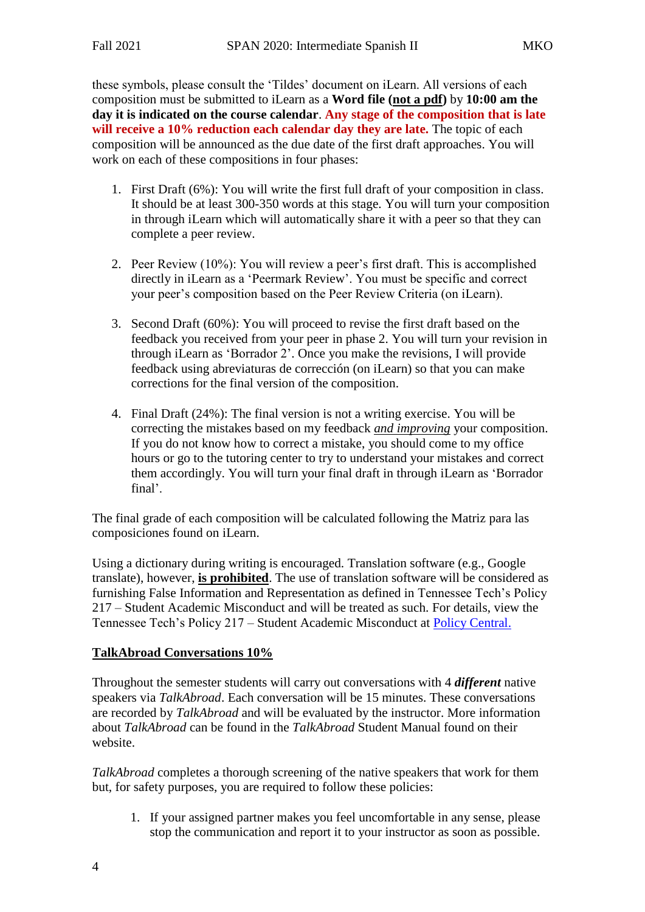these symbols, please consult the 'Tildes' document on iLearn. All versions of each composition must be submitted to iLearn as a **Word file (not a pdf)** by **10:00 am the day it is indicated on the course calendar**. **Any stage of the composition that is late will receive a 10% reduction each calendar day they are late.** The topic of each composition will be announced as the due date of the first draft approaches. You will work on each of these compositions in four phases:

- 1. First Draft (6%): You will write the first full draft of your composition in class. It should be at least 300-350 words at this stage. You will turn your composition in through iLearn which will automatically share it with a peer so that they can complete a peer review.
- 2. Peer Review (10%): You will review a peer's first draft. This is accomplished directly in iLearn as a 'Peermark Review'. You must be specific and correct your peer's composition based on the Peer Review Criteria (on iLearn).
- 3. Second Draft (60%): You will proceed to revise the first draft based on the feedback you received from your peer in phase 2. You will turn your revision in through iLearn as 'Borrador 2'. Once you make the revisions, I will provide feedback using abreviaturas de corrección (on iLearn) so that you can make corrections for the final version of the composition.
- 4. Final Draft (24%): The final version is not a writing exercise. You will be correcting the mistakes based on my feedback *and improving* your composition. If you do not know how to correct a mistake, you should come to my office hours or go to the tutoring center to try to understand your mistakes and correct them accordingly. You will turn your final draft in through iLearn as 'Borrador final'.

The final grade of each composition will be calculated following the Matriz para las composiciones found on iLearn.

Using a dictionary during writing is encouraged. Translation software (e.g., Google translate), however, **is prohibited**. The use of translation software will be considered as furnishing False Information and Representation as defined in Tennessee Tech's Policy 217 – Student Academic Misconduct and will be treated as such. For details, view the Tennessee Tech's Policy 217 – Student Academic Misconduct at [Policy Central.](https://www.tntech.edu/policies/)

#### **TalkAbroad Conversations 10%**

Throughout the semester students will carry out conversations with 4 *different* native speakers via *TalkAbroad*. Each conversation will be 15 minutes. These conversations are recorded by *TalkAbroad* and will be evaluated by the instructor. More information about *TalkAbroad* can be found in the *TalkAbroad* Student Manual found on their website.

*TalkAbroad* completes a thorough screening of the native speakers that work for them but, for safety purposes, you are required to follow these policies:

1. If your assigned partner makes you feel uncomfortable in any sense, please stop the communication and report it to your instructor as soon as possible.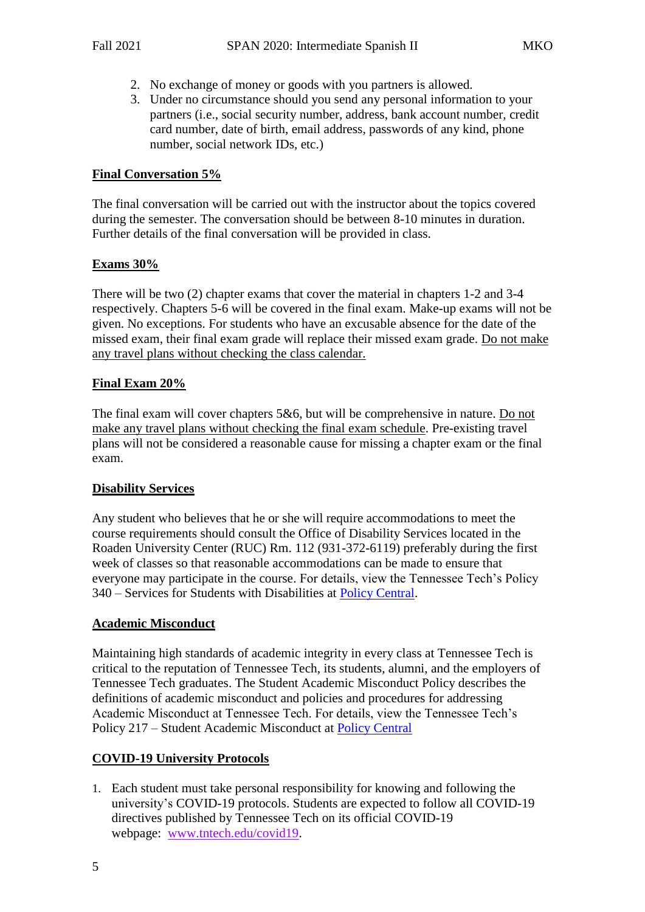- 2. No exchange of money or goods with you partners is allowed.
- 3. Under no circumstance should you send any personal information to your partners (i.e., social security number, address, bank account number, credit card number, date of birth, email address, passwords of any kind, phone number, social network IDs, etc.)

#### **Final Conversation 5%**

The final conversation will be carried out with the instructor about the topics covered during the semester. The conversation should be between 8-10 minutes in duration. Further details of the final conversation will be provided in class.

#### **Exams 30%**

There will be two (2) chapter exams that cover the material in chapters 1-2 and 3-4 respectively. Chapters 5-6 will be covered in the final exam. Make-up exams will not be given. No exceptions. For students who have an excusable absence for the date of the missed exam, their final exam grade will replace their missed exam grade. Do not make any travel plans without checking the class calendar.

#### **Final Exam 20%**

The final exam will cover chapters 5&6, but will be comprehensive in nature. Do not make any travel plans without checking the final exam schedule. Pre-existing travel plans will not be considered a reasonable cause for missing a chapter exam or the final exam.

#### **Disability Services**

Any student who believes that he or she will require accommodations to meet the course requirements should consult the Office of Disability Services located in the Roaden University Center (RUC) Rm. 112 (931-372-6119) preferably during the first week of classes so that reasonable accommodations can be made to ensure that everyone may participate in the course. For details, view the Tennessee Tech's Policy 340 – Services for Students with Disabilities at [Policy Central.](https://www.tntech.edu/policies/)

#### **Academic Misconduct**

Maintaining high standards of academic integrity in every class at Tennessee Tech is critical to the reputation of Tennessee Tech, its students, alumni, and the employers of Tennessee Tech graduates. The Student Academic Misconduct Policy describes the definitions of academic misconduct and policies and procedures for addressing Academic Misconduct at Tennessee Tech. For details, view the Tennessee Tech's Policy 217 – Student Academic Misconduct at [Policy Central](https://www.tntech.edu/policies/)

#### **COVID-19 University Protocols**

1. Each student must take personal responsibility for knowing and following the university's COVID-19 protocols. Students are expected to follow all COVID-19 directives published by Tennessee Tech on its official COVID-19 webpage: [www.tntech.edu/covid19.](http://www.tntech.edu/covid19)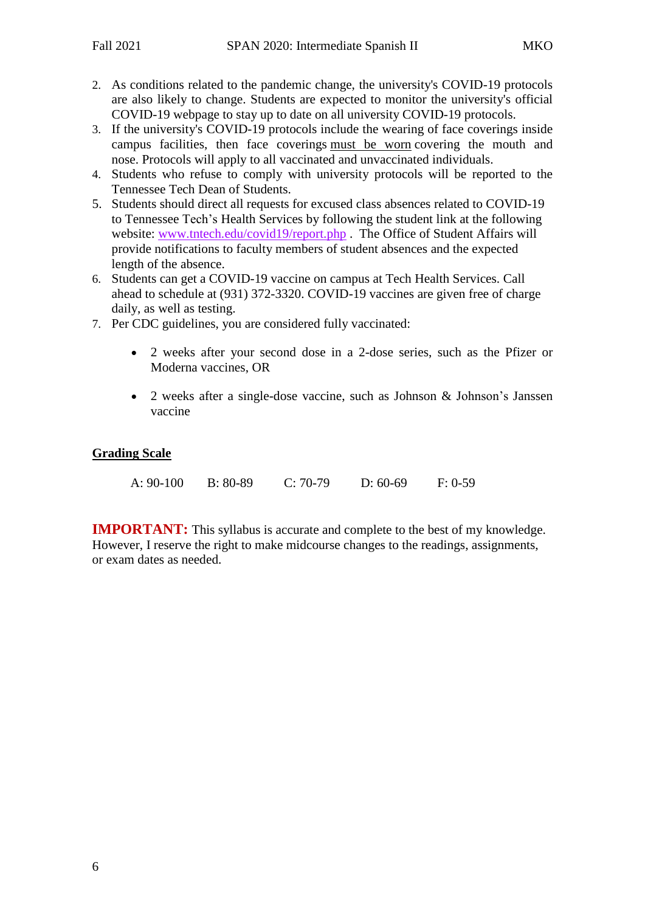- 2. As conditions related to the pandemic change, the university's COVID-19 protocols are also likely to change. Students are expected to monitor the university's official COVID-19 webpage to stay up to date on all university COVID-19 protocols.
- 3. If the university's COVID-19 protocols include the wearing of face coverings inside campus facilities, then face coverings must be worn covering the mouth and nose. Protocols will apply to all vaccinated and unvaccinated individuals.
- 4. Students who refuse to comply with university protocols will be reported to the Tennessee Tech Dean of Students.
- 5. Students should direct all requests for excused class absences related to COVID-19 to Tennessee Tech's Health Services by following the student link at the following website: [www.tntech.edu/covid19/report.php](http://www.tntech.edu/covid19/report.php) . The Office of Student Affairs will provide notifications to faculty members of student absences and the expected length of the absence.
- 6. Students can get a COVID-19 vaccine on campus at Tech Health Services. Call ahead to schedule at (931) 372-3320. COVID-19 vaccines are given free of charge daily, as well as testing.
- 7. Per CDC guidelines, you are considered fully vaccinated:
	- 2 weeks after your second dose in a 2-dose series, such as the Pfizer or Moderna vaccines, OR
	- 2 weeks after a single-dose vaccine, such as Johnson & Johnson's Janssen vaccine

# **Grading Scale**

| A: 90-100 | $B: 80-89$ | $C: 70-79$ | $D: 60-69$ | $F: 0-59$ |
|-----------|------------|------------|------------|-----------|
|           |            |            |            |           |

**IMPORTANT:** This syllabus is accurate and complete to the best of my knowledge. However, I reserve the right to make midcourse changes to the readings, assignments, or exam dates as needed.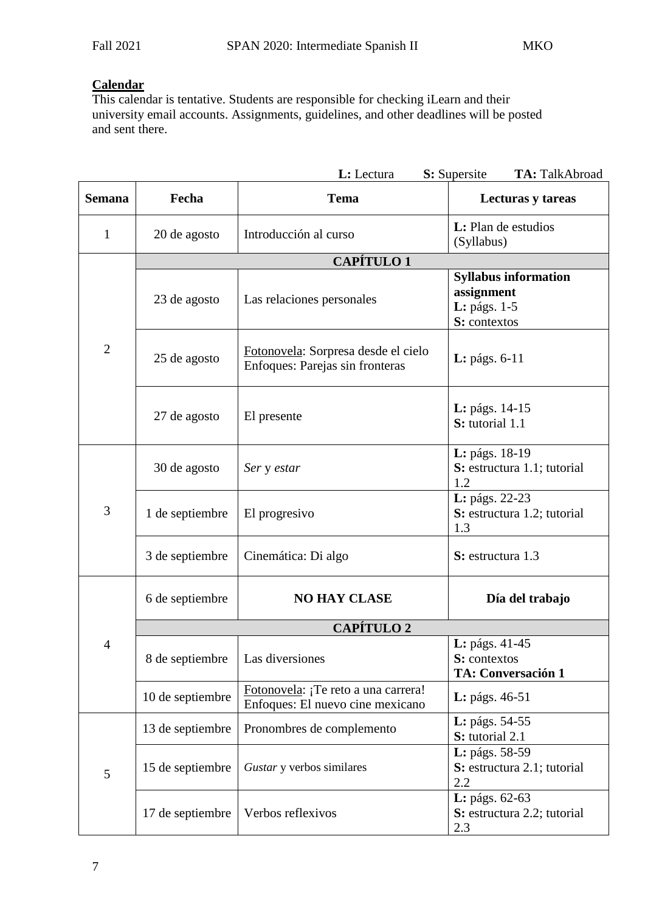# **Calendar**

This calendar is tentative. Students are responsible for checking iLearn and their university email accounts. Assignments, guidelines, and other deadlines will be posted and sent there.

| L: Lectura<br>S: Supersite<br>TA: TalkAbroad |                   |                                                                         |                                                                           |  |  |  |  |
|----------------------------------------------|-------------------|-------------------------------------------------------------------------|---------------------------------------------------------------------------|--|--|--|--|
| <b>Semana</b>                                | Fecha             | <b>Tema</b>                                                             | Lecturas y tareas                                                         |  |  |  |  |
| $\mathbf{1}$                                 | 20 de agosto      | Introducción al curso                                                   | L: Plan de estudios<br>(Syllabus)                                         |  |  |  |  |
|                                              | <b>CAPÍTULO 1</b> |                                                                         |                                                                           |  |  |  |  |
| $\overline{2}$                               | 23 de agosto      | Las relaciones personales                                               | <b>Syllabus information</b><br>assignment<br>L: págs. 1-5<br>S: contextos |  |  |  |  |
|                                              | 25 de agosto      | Fotonovela: Sorpresa desde el cielo<br>Enfoques: Parejas sin fronteras  | L: págs. 6-11                                                             |  |  |  |  |
|                                              | 27 de agosto      | El presente                                                             | <b>L</b> : págs. 14-15<br>S: tutorial 1.1                                 |  |  |  |  |
| 3                                            | 30 de agosto      | Ser y estar                                                             | L: págs. 18-19<br>S: estructura 1.1; tutorial<br>1.2                      |  |  |  |  |
|                                              | 1 de septiembre   | El progresivo                                                           | L: págs. 22-23<br>S: estructura 1.2; tutorial<br>1.3                      |  |  |  |  |
|                                              | 3 de septiembre   | Cinemática: Di algo                                                     | S: estructura 1.3                                                         |  |  |  |  |
|                                              | 6 de septiembre   | <b>NO HAY CLASE</b>                                                     | Día del trabajo                                                           |  |  |  |  |
|                                              | <b>CAPÍTULO 2</b> |                                                                         |                                                                           |  |  |  |  |
| $\overline{4}$                               | 8 de septiembre   | Las diversiones                                                         | L: págs. 41-45<br>S: contextos<br><b>TA: Conversación 1</b>               |  |  |  |  |
|                                              | 10 de septiembre  | Fotonovela: ¡Te reto a una carrera!<br>Enfoques: El nuevo cine mexicano | <b>L</b> : págs. 46-51                                                    |  |  |  |  |
|                                              | 13 de septiembre  | Pronombres de complemento                                               | <b>L</b> : págs. 54-55<br>S: tutorial 2.1                                 |  |  |  |  |
| 5                                            | 15 de septiembre  | Gustar y verbos similares                                               | L: págs. 58-59<br>S: estructura 2.1; tutorial<br>2.2                      |  |  |  |  |
|                                              | 17 de septiembre  | Verbos reflexivos                                                       | L: págs. 62-63<br>S: estructura 2.2; tutorial<br>2.3                      |  |  |  |  |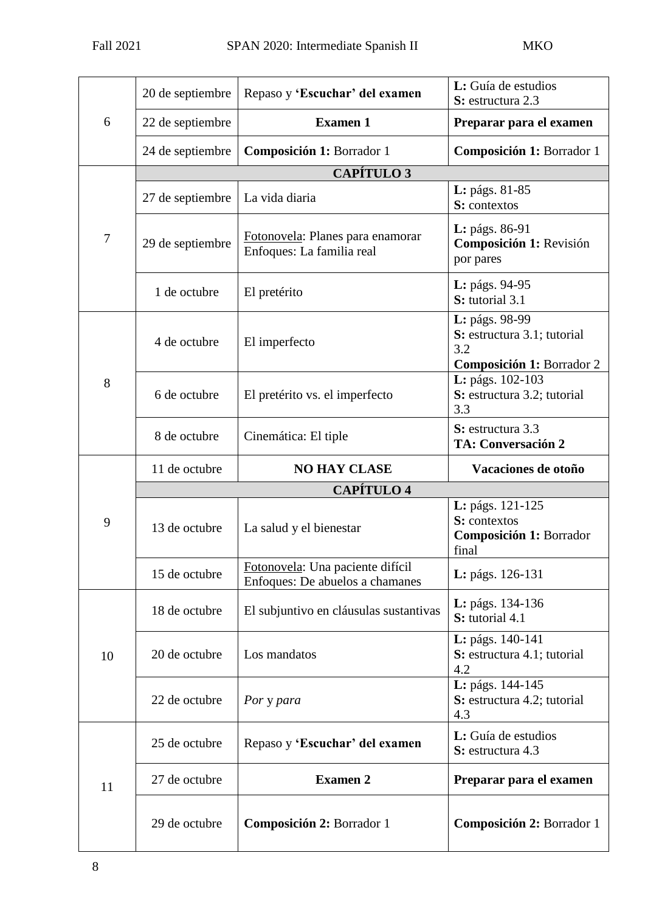| 6  | 20 de septiembre  | Repaso y 'Escuchar' del examen                                      | L: Guía de estudios<br>S: estructura 2.3                                          |  |  |  |
|----|-------------------|---------------------------------------------------------------------|-----------------------------------------------------------------------------------|--|--|--|
|    | 22 de septiembre  | <b>Examen 1</b>                                                     | Preparar para el examen                                                           |  |  |  |
|    | 24 de septiembre  | Composición 1: Borrador 1                                           | Composición 1: Borrador 1                                                         |  |  |  |
|    | <b>CAPÍTULO 3</b> |                                                                     |                                                                                   |  |  |  |
| 7  | 27 de septiembre  | La vida diaria                                                      | L: págs. 81-85<br>S: contextos                                                    |  |  |  |
|    | 29 de septiembre  | Fotonovela: Planes para enamorar<br>Enfoques: La familia real       | L: págs. 86-91<br>Composición 1: Revisión<br>por pares                            |  |  |  |
|    | 1 de octubre      | El pretérito                                                        | L: págs. 94-95<br>S: tutorial 3.1                                                 |  |  |  |
| 8  | 4 de octubre      | El imperfecto                                                       | L: págs. 98-99<br>S: estructura 3.1; tutorial<br>3.2<br>Composición 1: Borrador 2 |  |  |  |
|    | 6 de octubre      | El pretérito vs. el imperfecto                                      | L: págs. 102-103<br>S: estructura 3.2; tutorial<br>3.3                            |  |  |  |
|    | 8 de octubre      | Cinemática: El tiple                                                | S: estructura 3.3<br><b>TA: Conversación 2</b>                                    |  |  |  |
|    | 11 de octubre     | <b>NO HAY CLASE</b>                                                 | Vacaciones de otoño                                                               |  |  |  |
|    | <b>CAPÍTULO 4</b> |                                                                     |                                                                                   |  |  |  |
| 9  | 13 de octubre     | La salud y el bienestar                                             | L: págs. 121-125<br>S: contextos<br>Composición 1: Borrador<br>final              |  |  |  |
|    | 15 de octubre     | Fotonovela: Una paciente difícil<br>Enfoques: De abuelos a chamanes | L: págs. 126-131                                                                  |  |  |  |
| 10 | 18 de octubre     | El subjuntivo en cláusulas sustantivas                              | L: págs. 134-136<br>S: tutorial 4.1                                               |  |  |  |
|    | 20 de octubre     | Los mandatos                                                        | L: págs. 140-141<br>S: estructura 4.1; tutorial<br>4.2                            |  |  |  |
|    | 22 de octubre     | Por y para                                                          | L: págs. 144-145<br>S: estructura 4.2; tutorial<br>4.3                            |  |  |  |
| 11 | 25 de octubre     | Repaso y 'Escuchar' del examen                                      | L: Guía de estudios<br>S: estructura 4.3                                          |  |  |  |
|    | 27 de octubre     | <b>Examen 2</b>                                                     | Preparar para el examen                                                           |  |  |  |
|    | 29 de octubre     | Composición 2: Borrador 1                                           | Composición 2: Borrador 1                                                         |  |  |  |